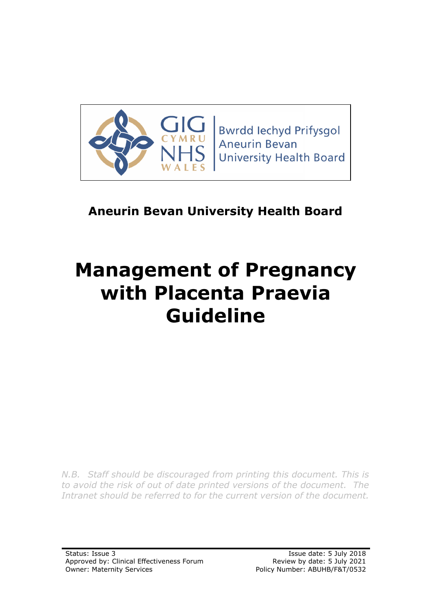

**Bwrdd lechyd Prifysgol Aneurin Bevan University Health Board** 

## **Aneurin Bevan University Health Board**

# **Management of Pregnancy with Placenta Praevia Guideline**

*N.B. Staff should be discouraged from printing this document. This is to avoid the risk of out of date printed versions of the document. The Intranet should be referred to for the current version of the document.*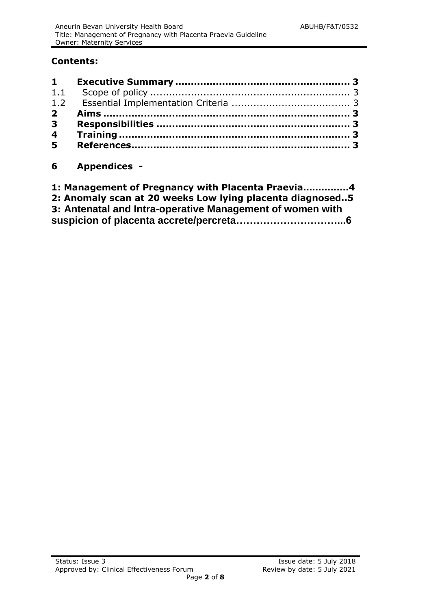#### **Contents:**

### **6 Appendices -**

| 1: Management of Pregnancy with Placenta Praevia4         |  |
|-----------------------------------------------------------|--|
| 2: Anomaly scan at 20 weeks Low lying placenta diagnosed5 |  |
| 3: Antenatal and Intra-operative Management of women with |  |
|                                                           |  |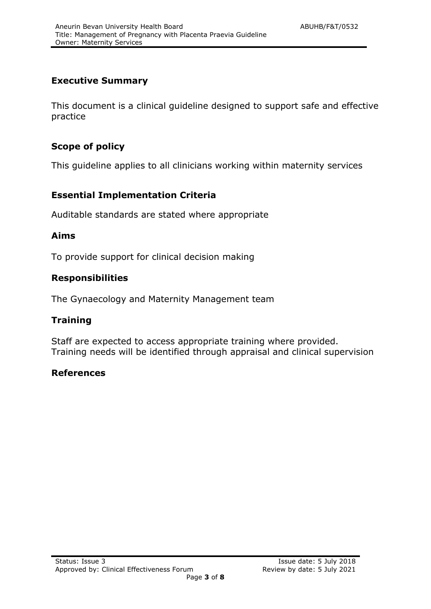#### <span id="page-2-0"></span>**Executive Summary**

This document is a clinical guideline designed to support safe and effective practice

#### <span id="page-2-1"></span>**Scope of policy**

This guideline applies to all clinicians working within maternity services

#### <span id="page-2-2"></span>**Essential Implementation Criteria**

Auditable standards are stated where appropriate

#### <span id="page-2-3"></span>**Aims**

To provide support for clinical decision making

#### <span id="page-2-4"></span>**Responsibilities**

The Gynaecology and Maternity Management team

#### <span id="page-2-5"></span>**Training**

Staff are expected to access appropriate training where provided. Training needs will be identified through appraisal and clinical supervision

#### <span id="page-2-6"></span>**References**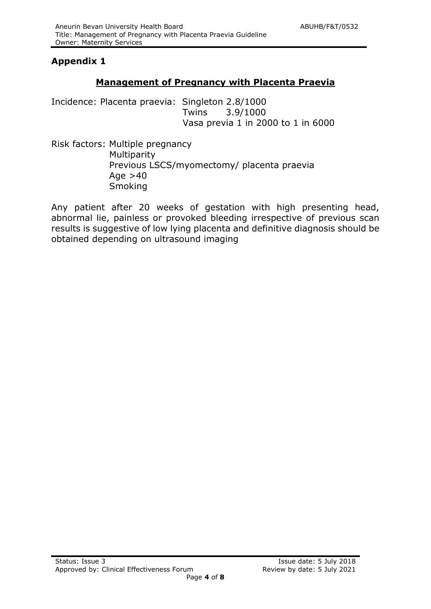#### **Appendix 1**

#### **Management of Pregnancy with Placenta Praevia**

Incidence: Placenta praevia: Singleton 2.8/1000 Twins 3.9/1000 Vasa previa 1 in 2000 to 1 in 6000

Risk factors: Multiple pregnancy Multiparity Previous LSCS/myomectomy/ placenta praevia Age  $>40$ **Smoking** 

Any patient after 20 weeks of gestation with high presenting head, abnormal lie, painless or provoked bleeding irrespective of previous scan results is suggestive of low lying placenta and definitive diagnosis should be obtained depending on ultrasound imaging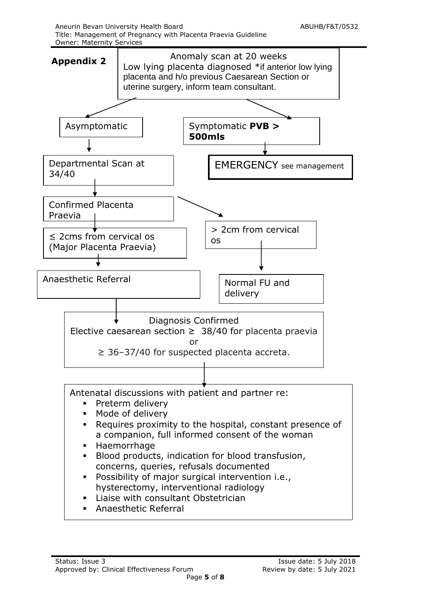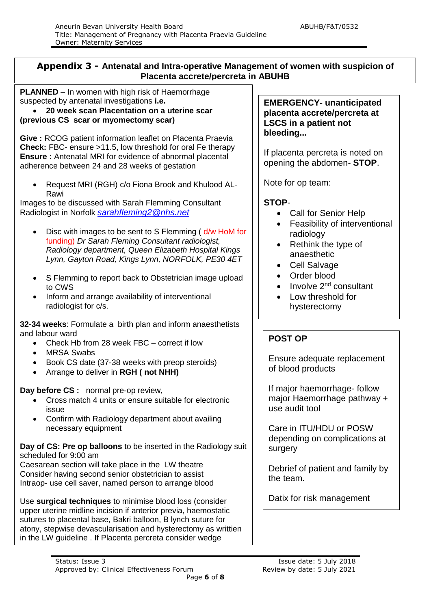#### **Appendix 3 - Antenatal and Intra-operative Management of women with suspicion of Placenta accrete/percreta in ABUHB**

**PLANNED** – In women with high risk of Haemorrhage suspected by antenatal investigations **i.e.**

 **20 week scan Placentation on a uterine scar (previous CS scar or myomectomy scar)**

**Give :** RCOG patient information leaflet on Placenta Praevia **Check:** FBC- ensure >11.5, low threshold for oral Fe therapy **Ensure :** Antenatal MRI for evidence of abnormal placental adherence between 24 and 28 weeks of gestation

 Request MRI (RGH) c/o Fiona Brook and Khulood AL-Rawi

Images to be discussed with Sarah Flemming Consultant Radiologist in Norfolk *[sarahfleming2@nhs.net](mailto:sarahfleming2@nhs.net)*

- Disc with images to be sent to S Flemming ( d/w HoM for funding) *Dr Sarah Fleming Consultant radiologist, Radiology department, Queen Elizabeth Hospital Kings Lynn, Gayton Road, Kings Lynn, NORFOLK, PE30 4ET*
- S Flemming to report back to Obstetrician image upload to CWS
- Inform and arrange availability of interventional radiologist for c/s.

**32-34 weeks**: Formulate a birth plan and inform anaesthetists and labour ward

- Check Hb from 28 week FBC correct if low
- MRSA Swabs
- Book CS date (37-38 weeks with preop steroids)
- Arrange to deliver in **RGH ( not NHH)**

**Day before CS :** normal pre-op review,

- Cross match 4 units or ensure suitable for electronic issue
- Confirm with Radiology department about availing necessary equipment

**Day of CS: Pre op balloons** to be inserted in the Radiology suit scheduled for 9:00 am

Caesarean section will take place in the LW theatre Consider having second senior obstetrician to assist Intraop- use cell saver, named person to arrange blood

resection of uterus with adherent placenta in situ.

Use **surgical techniques** to minimise blood loss (consider upper uterine midline incision if anterior previa, haemostatic sutures to placental base, Bakri balloon, B lynch suture for atony, stepwise devascularisation and hysterectomy as writtien in the LW guideline . If Placenta percreta consider wedge

**EMERGENCY- unanticipated placenta accrete/percreta at LSCS in a patient not bleeding...**

If placenta percreta is noted on opening the abdomen- **STOP**.

Note for op team:

#### **STOP**-

- Call for Senior Help
- Feasibility of interventional radiology
- Rethink the type of anaesthetic
- Cell Salvage
- Order blood
- $\bullet$  Involve 2<sup>nd</sup> consultant
- Low threshold for hysterectomy

#### **POST OP**

Ensure adequate replacement of blood products

If major haemorrhage- follow major Haemorrhage pathway + use audit tool

Care in ITU/HDU or POSW depending on complications at surgery

Debrief of patient and family by the team.

Datix for risk management